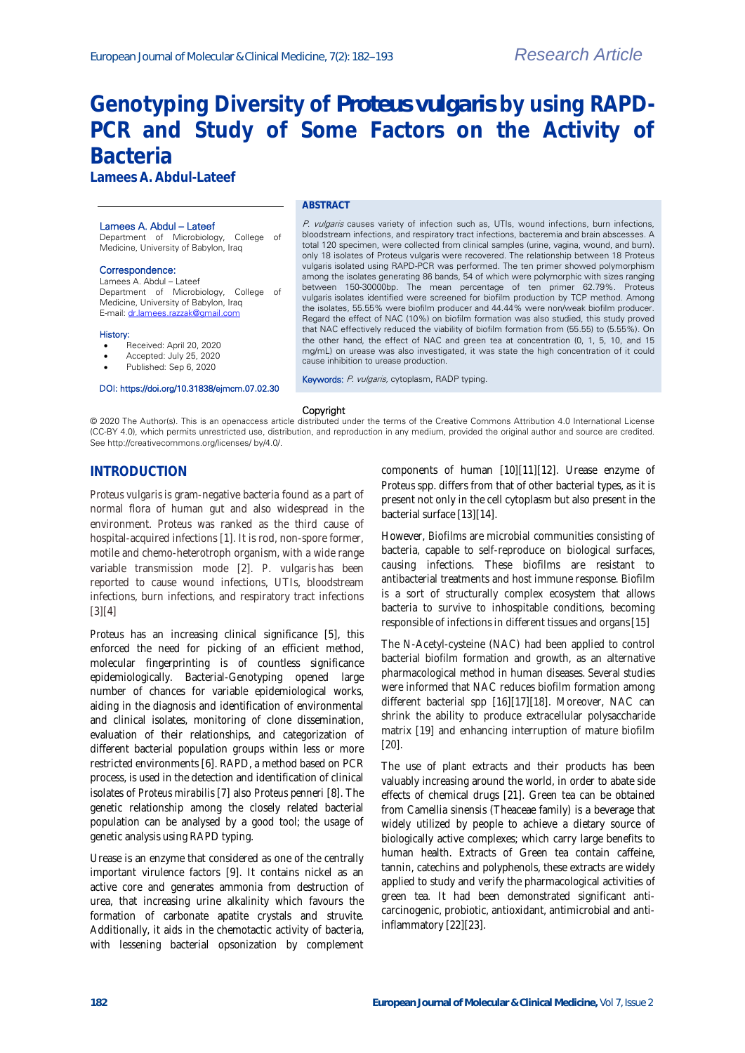# **Genotyping Diversity of** *Proteus vulgaris* **by using RAPD-PCR and Study of Some Factors on the Activity of Bacteria**

**Lamees A. Abdul-Lateef**

#### Lamees A. Abdul – Lateef

Department of Microbiology, College of Medicine, University of Babylon, Iraq

#### Correspondence:

Lamees A. Abdul – Lateef Department of Microbiology, College of Medicine, University of Babylon, Iraq E-mail[: dr.lamees.razzak@gmail.com](mailto:dr.lamees.razzak@gmail.com)

#### History:

- Received: April 20, 2020
- Accepted: July 25, 2020
- Published: Sep 6, 2020

#### DOI: https://doi.org/10.31838/ejmcm.07.02.30

### **ABSTRACT**

P. vulgaris causes variety of infection such as, UTIs, wound infections, burn infections, bloodstream infections, and respiratory tract infections, bacteremia and brain abscesses. A total 120 specimen, were collected from clinical samples (urine, vagina, wound, and burn). only 18 isolates of Proteus vulgaris were recovered. The relationship between 18 Proteus vulgaris isolated using RAPD-PCR was performed. The ten primer showed polymorphism among the isolates generating 86 bands, 54 of which were polymorphic with sizes ranging between 150-30000bp. The mean percentage of ten primer 62.79%. Proteus vulgaris isolates identified were screened for biofilm production by TCP method. Among the isolates, 55.55% were biofilm producer and 44.44% were non/weak biofilm producer. Regard the effect of NAC (10%) on biofilm formation was also studied, this study proved that NAC effectively reduced the viability of biofilm formation from (55.55) to (5.55%). On the other hand, the effect of NAC and green tea at concentration (0, 1, 5, 10, and 15 mg/mL) on urease was also investigated, it was state the high concentration of it could cause inhibition to urease production.

Keywords: P. vulgaris, cytoplasm, RADP typing.

#### Copyright

© 2020 The Author(s). This is an openaccess article distributed under the terms of the Creative Commons Attribution 4.0 International License (CC-BY 4.0), which permits unrestricted use, distribution, and reproduction in any medium, provided the original author and source are credited. See http://creativecommons.org/licenses/ by/4.0/.

## **INTRODUCTION**

*Proteus vulgaris* is gram-negative bacteria found as a part of normal flora of human gut and also widespread in the environment. *Proteus* was ranked as the third cause of hospital-acquired infections [1]. It is rod, non-spore former, motile and chemo-heterotroph organism, with a wide range variable transmission mode [2]. *P. vulgaris* has been reported to cause wound infections, UTIs, bloodstream infections, burn infections, and respiratory tract infections  $[3][4]$ 

*Proteus* has an increasing clinical significance [5], this enforced the need for picking of an efficient method, molecular fingerprinting is of countless significance epidemiologically. Bacterial-Genotyping opened large number of chances for variable epidemiological works, aiding in the diagnosis and identification of environmental and clinical isolates, monitoring of clone dissemination, evaluation of their relationships, and categorization of different bacterial population groups within less or more restricted environments [6]. RAPD, a method based on PCR process, is used in the detection and identification of clinical isolates of *Proteus mirabilis* [7] also *Proteus penneri* [8]. The genetic relationship among the closely related bacterial population can be analysed by a good tool; the usage of genetic analysis using RAPD typing.

Urease is an enzyme that considered as one of the centrally important virulence factors [9]. It contains nickel as an active core and generates ammonia from destruction of urea, that increasing urine alkalinity which favours the formation of carbonate apatite crystals and struvite. Additionally, it aids in the chemotactic activity of bacteria, with lessening bacterial opsonization by complement

components of human [10][11][12]. Urease enzyme of *Proteus* spp. differs from that of other bacterial types, as it is present not only in the cell cytoplasm but also present in the bacterial surface [13][14].

However, Biofilms are microbial communities consisting of bacteria, capable to self-reproduce on biological surfaces, causing infections. These biofilms are resistant to antibacterial treatments and host immune response. Biofilm is a sort of structurally complex ecosystem that allows bacteria to survive to inhospitable conditions, becoming responsible of infections in different tissues and organs[15]

The N-Acetyl-cysteine (NAC) had been applied to control bacterial biofilm formation and growth, as an alternative pharmacological method in human diseases. Several studies were informed that NAC reduces biofilm formation among different bacterial spp [16][17][18]. Moreover, NAC can shrink the ability to produce extracellular polysaccharide matrix [19] and enhancing interruption of mature biofilm [20].

The use of plant extracts and their products has been valuably increasing around the world, in order to abate side effects of chemical drugs [21]. Green tea can be obtained from Camellia sinensis (Theaceae family) is a beverage that widely utilized by people to achieve a dietary source of biologically active complexes; which carry large benefits to human health. Extracts of Green tea contain caffeine, tannin, catechins and polyphenols, these extracts are widely applied to study and verify the pharmacological activities of green tea. It had been demonstrated significant anticarcinogenic, probiotic, antioxidant, antimicrobial and antiinflammatory [22][23].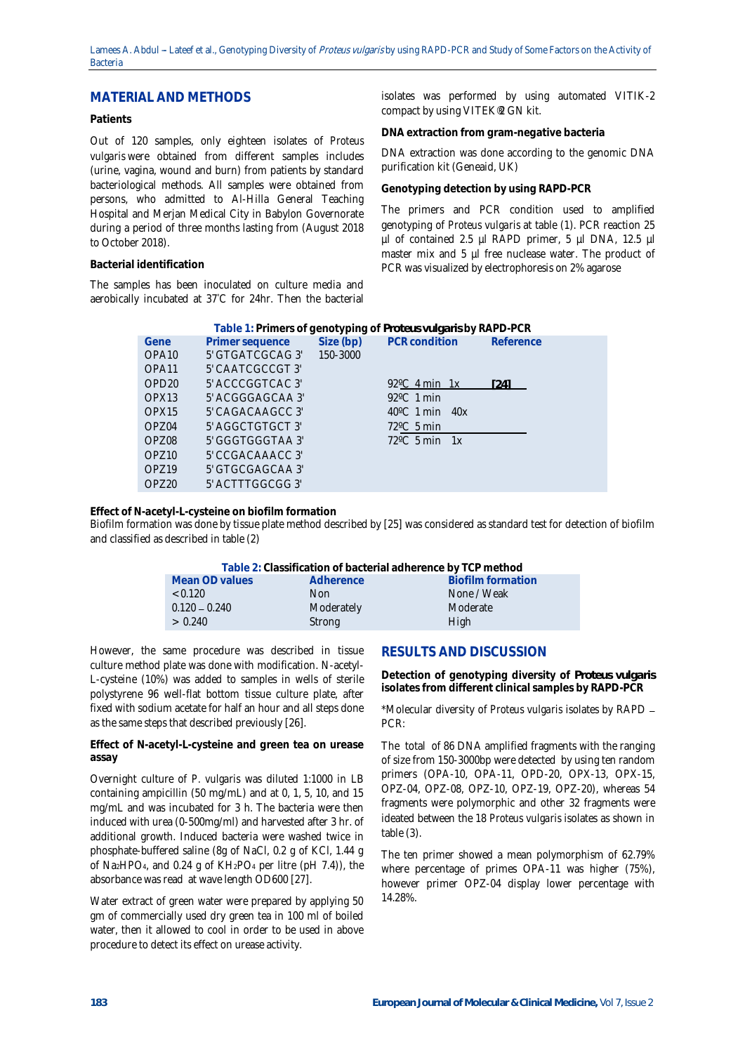## **MATERIAL AND METHODS**

## **Patients**

Out of 120 samples, only eighteen isolates of *Proteus vulgaris* were obtained from different samples includes (urine, vagina, wound and burn) from patients by standard bacteriological methods. All samples were obtained from persons, who admitted to Al-Hilla General Teaching Hospital and Merjan Medical City in Babylon Governorate during a period of three months lasting from (August 2018 to October 2018).

### **Bacterial identification**

The samples has been inoculated on culture media and aerobically incubated at 37°C for 24hr. Then the bacterial

isolates was performed by using automated VITIK-2 compact by using VITEK®2 GN kit.

**DNA extraction from gram-negative bacteria**

DNA extraction was done according to the genomic DNA purification kit (Geneaid, UK)

**Genotyping detection by using RAPD-PCR**

The primers and PCR condition used to amplified genotyping of *Proteus vulgaris* at table (1). PCR reaction 25 µl of contained 2.5 µl RAPD primer, 5 µl DNA, 12.5 µl master mix and 5 µl free nuclease water. The product of PCR was visualized by electrophoresis on 2% agarose

| Table 1: Primers of genotyping of Proteus vulgaris by RAPD-PCR |                           |  |                                   |  |      |  |  |  |  |
|----------------------------------------------------------------|---------------------------|--|-----------------------------------|--|------|--|--|--|--|
| Gene                                                           | Primer sequence           |  | Size (bp) PCR condition Reference |  |      |  |  |  |  |
| OPA <sub>10</sub>                                              | 5' GTGATCGCAG 3' 150-3000 |  |                                   |  |      |  |  |  |  |
| OPA <sub>11</sub>                                              | 5' CAATCGCCGT 3'          |  |                                   |  |      |  |  |  |  |
| OPD <sub>20</sub>                                              | 5' ACCCGGTCAC3'           |  | 92 <sup>°</sup> C 4 min 1x        |  | [24] |  |  |  |  |
| OPX <sub>13</sub>                                              | 5' ACGGGAGCAA 3'          |  | $92^{\circ}$ C 1 min              |  |      |  |  |  |  |
| OPX <sub>15</sub>                                              | 5' CAGACAAGCC 3'          |  | $40^{\circ}$ C 1 min $40x$        |  |      |  |  |  |  |
| OP704                                                          | 5' AGGCTGTGCT 3'          |  | $72^{\circ}$ C 5 min              |  |      |  |  |  |  |
| <b>OP708</b>                                                   | 5' GGGTGGGTAA 3'          |  | $72^{\circ}$ C 5 min 1x           |  |      |  |  |  |  |
| OP710                                                          | 5' CCGACAAACC 3'          |  |                                   |  |      |  |  |  |  |
| OP719                                                          | 5' GTGCGAGCAA 3'          |  |                                   |  |      |  |  |  |  |
| OP720                                                          | 5' ACTTTGGCGG 3'          |  |                                   |  |      |  |  |  |  |
|                                                                |                           |  |                                   |  |      |  |  |  |  |

**Effect of N-acetyl-L-cysteine on biofilm formation**

Biofilm formation was done by tissue plate method described by [25] was considered as standard test for detection of biofilm and classified as described in table (2)

| Table 2: Classification of bacterial adherence by TCP method |            |                          |  |  |  |  |  |
|--------------------------------------------------------------|------------|--------------------------|--|--|--|--|--|
| Mean OD values                                               | Adherence  | <b>Biofilm formation</b> |  |  |  |  |  |
| < 0.120                                                      | Non.       | None / Weak              |  |  |  |  |  |
| $0.120 - 0.240$                                              | Moderately | Moderate                 |  |  |  |  |  |
| > 0.240                                                      | Strong     | High                     |  |  |  |  |  |

However, the same procedure was described in tissue culture method plate was done with modification. N-acetyl-L-cysteine (10%) was added to samples in wells of sterile polystyrene 96 well-flat bottom tissue culture plate, after fixed with sodium acetate for half an hour and all steps done as the same steps that described previously [26].

**Effect of N-acetyl-L-cysteine and green tea on urease assay**

Overnight culture of *P. vulgaris* was diluted 1:1000 in LB containing ampicillin (50 mg/mL) and at 0, 1, 5, 10, and 15 mg/mL and was incubated for 3 h. The bacteria were then induced with urea (0-500mg/ml) and harvested after 3 hr. of additional growth. Induced bacteria were washed twice in phosphate-buffered saline (8g of NaCl, 0.2 g of KCl, 1.44 g of Na<sub>2</sub>HPO<sub>4</sub>, and 0.24 g of  $KH_2PO_4$  per litre (pH 7.4)), the absorbance was read at wave length OD600 [27].

Water extract of green water were prepared by applying 50 gm of commercially used dry green tea in 100 ml of boiled water, then it allowed to cool in order to be used in above procedure to detect its effect on urease activity.

## **RESULTS AND DISCUSSION**

**Detection of genotyping diversity of** *Proteus vulgaris* **isolates from different clinical samples by RAPD-PCR**

\*Molecular diversity of *Proteus vulgaris* isolates by RAPD PCR:

The total of 86 DNA amplified fragments with the ranging of size from 150-3000bp were detected by using ten random primers (OPA-10, OPA-11, OPD-20, OPX-13, OPX-15, OPZ-04, OPZ-08, OPZ-10, OPZ-19, OPZ-20), whereas 54 fragments were polymorphic and other 32 fragments were ideated between the 18 *Proteus vulgaris* isolates as shown in table (3).

The ten primer showed a mean polymorphism of 62.79% where percentage of primes OPA-11 was higher (75%), however primer OPZ-04 display lower percentage with 14.28%.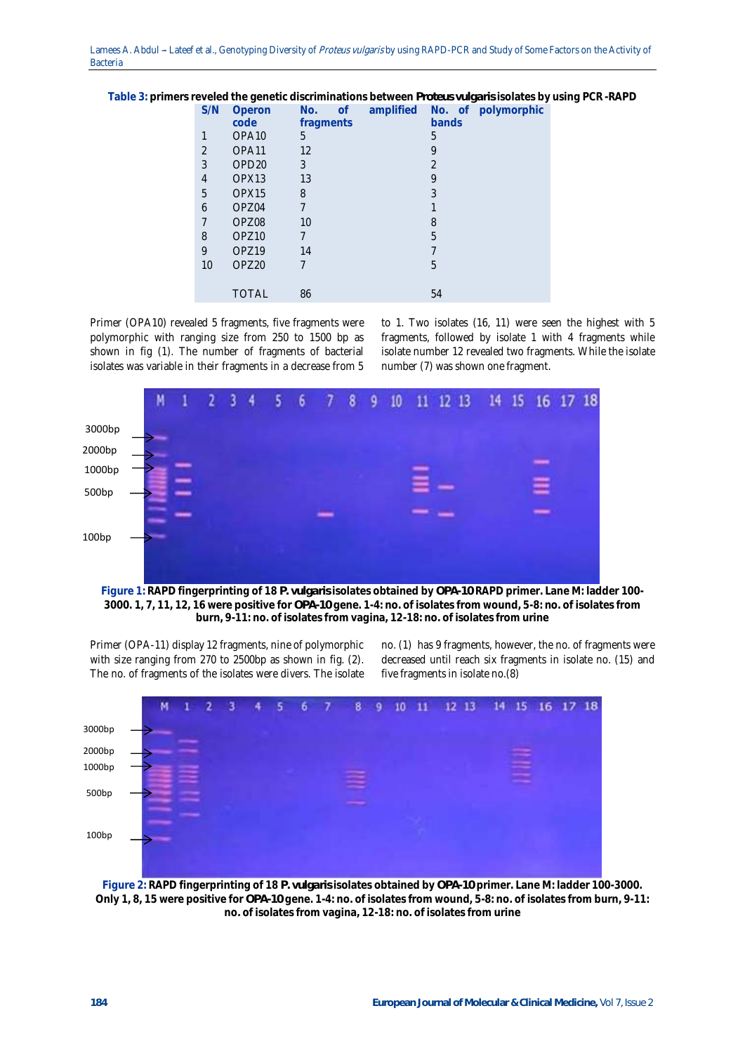Lamees A. Abdul - Lateef et al., Genotyping Diversity of Proteus vulgaris by using RAPD-PCR and Study of Some Factors on the Activity of Bacteria

|     |                   |           |                        |                          | $\checkmark$<br>◡ |
|-----|-------------------|-----------|------------------------|--------------------------|-------------------|
| S/N | Operon            | No.       | amplified<br><b>of</b> | No. of                   | polymorphic       |
|     | code              | fragments |                        | bands                    |                   |
|     | OPA <sub>10</sub> | 5         |                        | 5                        |                   |
| 2   | OPA11             | 12        |                        | 9                        |                   |
| 3   | OPD <sub>20</sub> | 3         |                        | $\overline{\mathcal{L}}$ |                   |
| 4   | OPX <sub>13</sub> | 13        |                        | 9                        |                   |
| 5   | OPX15             | 8         |                        | 3                        |                   |
| 6   | OPZ04             | 7         |                        |                          |                   |
|     | OPZ08             | 10        |                        | 8                        |                   |
| 8   | OPZ <sub>10</sub> | 7         |                        | 5                        |                   |
| 9   | OPZ <sub>19</sub> | 14        |                        | 7                        |                   |
| 10  | OPZ <sub>20</sub> | 7         |                        | 5                        |                   |
|     |                   |           |                        |                          |                   |
|     | <b>TOTAL</b>      | 86        |                        | 54                       |                   |
|     |                   |           |                        |                          |                   |

**Table 3: primers reveled the genetic discriminations between** *Proteus vulgaris* **isolates by using PCR -RAPD**

Primer (OPA10) revealed 5 fragments, five fragments were polymorphic with ranging size from 250 to 1500 bp as shown in fig (1). The number of fragments of bacterial isolates was variable in their fragments in a decrease from 5

to 1. Two isolates (16, 11) were seen the highest with 5 fragments, followed by isolate 1 with 4 fragments while isolate number 12 revealed two fragments. While the isolate number (7) was shown one fragment.



**Figure 1: RAPD fingerprinting of 18** *P. vulgaris* **isolates obtained by** *OPA-10* **RAPD primer. Lane M: ladder 100- 3000. 1, 7, 11, 12, 16 were positive for** *OPA-10* **gene. 1-4: no. of isolates from wound, 5-8: no. of isolates from burn, 9-11: no. of isolates from vagina, 12-18: no. of isolates from urine**

Primer (OPA-11) display 12 fragments, nine of polymorphic with size ranging from 270 to 2500bp as shown in fig. (2). The no. of fragments of the isolates were divers. The isolate

no. (1) has 9 fragments, however, the no. of fragments were decreased until reach six fragments in isolate no. (15) and five fragments in isolate no.(8)



**Figure 2: RAPD fingerprinting of 18** *P. vulgaris* **isolates obtained by** *OPA-10* **primer. Lane M: ladder 100-3000. Only 1, 8, 15 were positive for** *OPA-10* **gene. 1-4: no. of isolates from wound, 5-8: no. of isolates from burn, 9-11: no. of isolates from vagina, 12-18: no. of isolates from urine**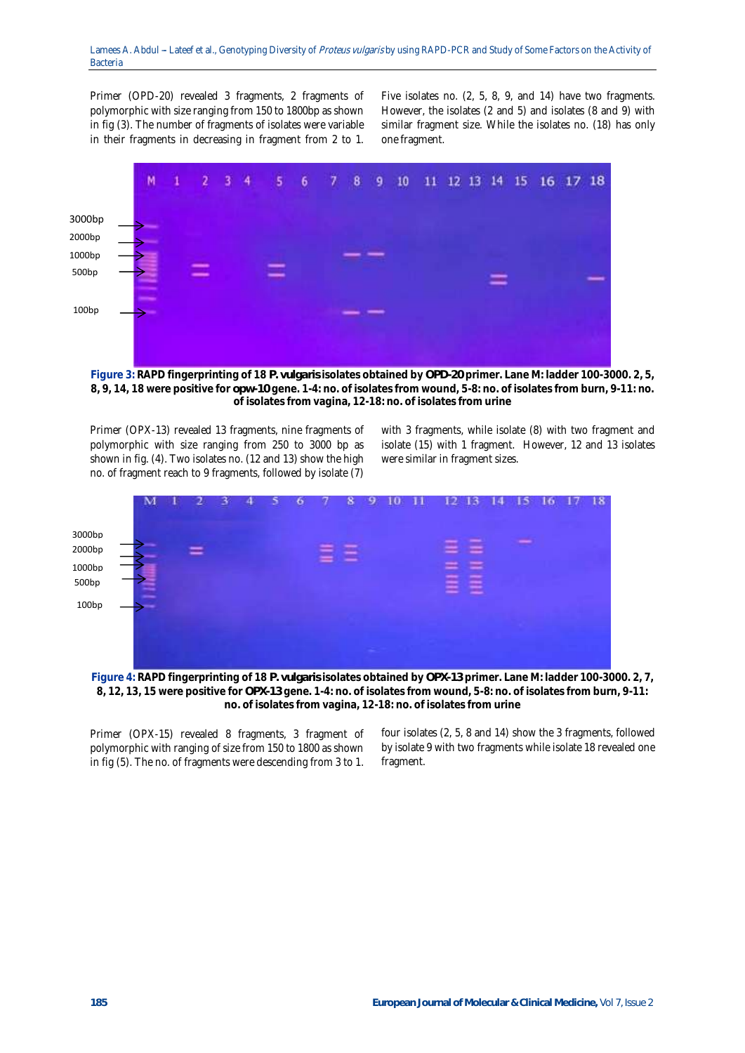Primer (OPD-20) revealed 3 fragments, 2 fragments of polymorphic with size ranging from 150 to 1800bp as shown in fig (3). The number of fragments of isolates were variable in their fragments in decreasing in fragment from 2 to 1.

Five isolates no. (2, 5, 8, 9, and 14) have two fragments. However, the isolates (2 and 5) and isolates (8 and 9) with similar fragment size. While the isolates no. (18) has only one fragment.



**Figure 3: RAPD fingerprinting of 18** *P. vulgaris* **isolates obtained by** *OPD-20* **primer. Lane M: ladder 100-3000. 2, 5, 8, 9, 14, 18 were positive for** *opw-10* **gene. 1-4: no. of isolates from wound, 5-8: no. of isolates from burn, 9-11: no. of isolates from vagina, 12-18: no. of isolates from urine**

Primer (OPX-13) revealed 13 fragments, nine fragments of polymorphic with size ranging from 250 to 3000 bp as shown in fig. (4). Two isolates no. (12 and 13) show the high no. of fragment reach to 9 fragments, followed by isolate (7)

with 3 fragments, while isolate (8) with two fragment and isolate (15) with 1 fragment. However, 12 and 13 isolates were similar in fragment sizes.



**Figure 4: RAPD fingerprinting of 18** *P. vulgaris* **isolates obtained by** *OPX-13* **primer. Lane M: ladder 100-3000. 2, 7, 8, 12, 13, 15 were positive for** *OPX-13* **gene. 1-4: no. of isolates from wound, 5-8: no. of isolates from burn, 9-11: no. of isolates from vagina, 12-18: no. of isolates from urine**

Primer (OPX*-*15) revealed 8 fragments, 3 fragment of polymorphic with ranging of size from 150 to 1800 as shown in fig (5). The no. of fragments were descending from 3 to 1.

four isolates (2, 5, 8 and 14) show the 3 fragments, followed by isolate 9 with two fragments while isolate 18 revealed one fragment.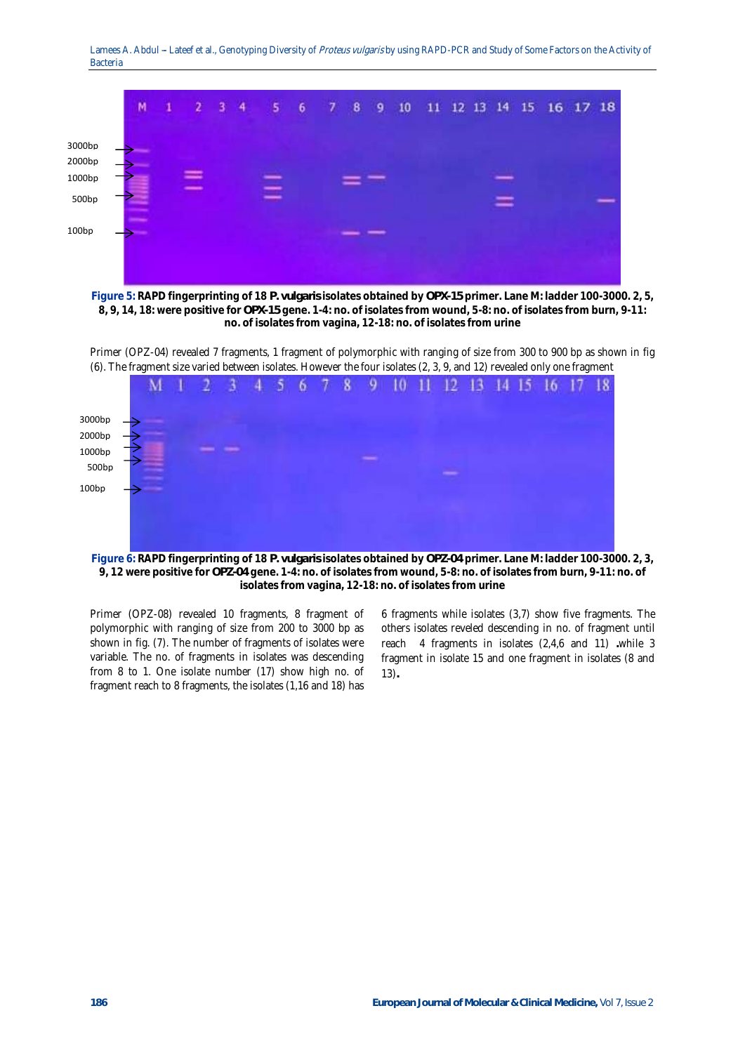Lamees A. Abdul - Lateef et al., Genotyping Diversity of Proteus vulgaris by using RAPD-PCR and Study of Some Factors on the Activity of Bacteria



**Figure 5: RAPD fingerprinting of 18** *P. vulgaris* **isolates obtained by** *OPX-15* **primer. Lane M: ladder 100-3000. 2, 5, 8, 9, 14, 18: were positive for** *OPX-15* **gene. 1-4: no. of isolates from wound, 5-8: no. of isolates from burn, 9-11: no. of isolates from vagina, 12-18: no. of isolates from urine**

Primer (OPZ-04*)* revealed 7 fragments, 1 fragment of polymorphic with ranging of size from 300 to 900 bp as shown in fig (6). The fragment size varied between isolates. However the four isolates (2, 3, 9, and 12) revealed only one fragment



**Figure 6: RAPD fingerprinting of 18** *P. vulgaris* **isolates obtained by** *OPZ-04* **primer. Lane M: ladder 100-3000. 2, 3, 9, 12 were positive for** *OPZ-04* **gene. 1-4: no. of isolates from wound, 5-8: no. of isolates from burn, 9-11: no. of isolates from vagina, 12-18: no. of isolates from urine**

Primer (OPZ-08) revealed 10 fragments, 8 fragment of polymorphic with ranging of size from 200 to 3000 bp as shown in fig. (7). The number of fragments of isolates were variable. The no. of fragments in isolates was descending from 8 to 1. One isolate number (17) show high no. of fragment reach to 8 fragments, the isolates (1,16 and 18) has

6 fragments while isolates (3,7) show five fragments. The others isolates reveled descending in no. of fragment until reach 4 fragments in isolates (2,4,6 and 11) **.**while 3 fragment in isolate 15 and one fragment in isolates (8 and 13)**.**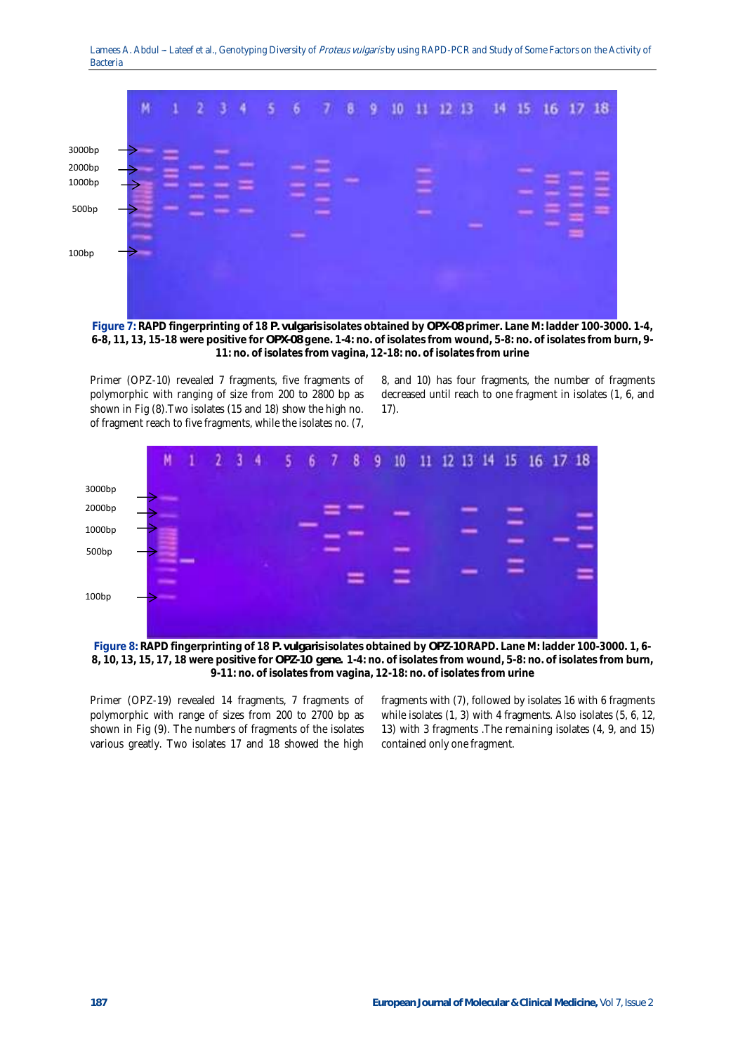

**Figure 7: RAPD fingerprinting of 18** *P. vulgaris* **isolates obtained by** *OPX-08* **primer. Lane M: ladder 100-3000. 1-4, 6-8, 11, 13, 15-18 were positive for** *OPX-08* **gene. 1-4: no. of isolates from wound, 5-8: no. of isolates from burn, 9- 11: no. of isolates from vagina, 12-18: no. of isolates from urine**

Primer (OPZ-10) revealed 7 fragments, five fragments of polymorphic with ranging of size from 200 to 2800 bp as shown in Fig (8).Two isolates (15 and 18) show the high no. of fragment reach to five fragments, while the isolates no. (7,

8, and 10) has four fragments, the number of fragments decreased until reach to one fragment in isolates (1, 6, and 17).



**Figure 8: RAPD fingerprinting of 18** *P. vulgaris* **isolates obtained by** *OPZ-10* **RAPD. Lane M: ladder 100-3000. 1, 6- 8, 10, 13, 15, 17, 18 were positive for** *OPZ-10 gene.* **1-4: no. of isolates from wound, 5-8: no. of isolates from burn, 9-11: no. of isolates from vagina, 12-18: no. of isolates from urine**

Primer (OPZ-19) revealed 14 fragments, 7 fragments of polymorphic with range of sizes from 200 to 2700 bp as shown in Fig (9). The numbers of fragments of the isolates various greatly. Two isolates 17 and 18 showed the high fragments with (7), followed by isolates 16 with 6 fragments while isolates (1, 3) with 4 fragments. Also isolates (5, 6, 12, 13) with 3 fragments .The remaining isolates (4, 9, and 15) contained only one fragment.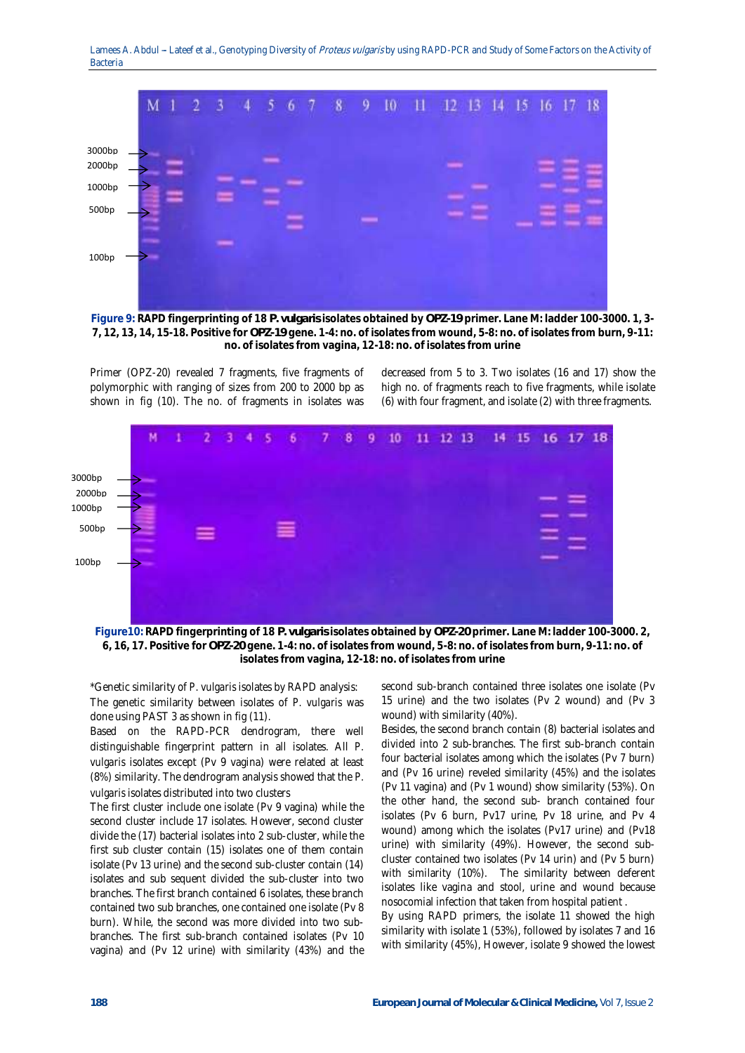

**Figure 9: RAPD fingerprinting of 18** *P. vulgaris* **isolates obtained by** *OPZ-19* **primer. Lane M: ladder 100-3000. 1, 3- 7, 12, 13, 14, 15-18. Positive for** *OPZ-19* **gene. 1-4: no. of isolates from wound, 5-8: no. of isolates from burn, 9-11: no. of isolates from vagina, 12-18: no. of isolates from urine**

Primer (OPZ-20) revealed 7 fragments, five fragments of polymorphic with ranging of sizes from 200 to 2000 bp as shown in fig (10). The no. of fragments in isolates was

decreased from 5 to 3. Two isolates (16 and 17) show the high no. of fragments reach to five fragments, while isolate (6) with four fragment, and isolate (2) with three fragments.



**Figure10: RAPD fingerprinting of 18** *P. vulgaris* **isolates obtained by** *OPZ-20* **primer. Lane M: ladder 100-3000. 2, 6, 16, 17. Positive for** *OPZ-20* **gene. 1-4: no. of isolates from wound, 5-8: no. of isolates from burn, 9-11: no. of isolates from vagina, 12-18: no. of isolates from urine**

\*Genetic similarity of *P. vulgaris* isolates by RAPD analysis: The genetic similarity between isolates of *P. vulgaris* was done using PAST 3 as shown in fig (11).

Based on the RAPD-PCR dendrogram, there well distinguishable fingerprint pattern in all isolates. All *P. vulgaris* isolates except (Pv 9 vagina) were related at least (8%) similarity. The dendrogram analysis showed that the *P. vulgaris* isolates distributed into two clusters

The first cluster include one isolate (Pv 9 vagina) while the second cluster include 17 isolates. However, second cluster divide the (17) bacterial isolates into 2 sub-cluster, while the first sub cluster contain (15) isolates one of them contain isolate (Pv 13 urine) and the second sub-cluster contain (14) isolates and sub sequent divided the sub-cluster into two branches. The first branch contained 6 isolates, these branch contained two sub branches, one contained one isolate (Pv 8 burn). While, the second was more divided into two subbranches. The first sub-branch contained isolates (Pv 10 vagina) and (Pv 12 urine) with similarity (43%) and the

second sub-branch contained three isolates one isolate (Pv 15 urine) and the two isolates (Pv 2 wound) and (Pv 3 wound) with similarity (40%).

Besides, the second branch contain (8) bacterial isolates and divided into 2 sub-branches. The first sub-branch contain four bacterial isolates among which the isolates (Pv 7 burn) and (Pv 16 urine) reveled similarity (45%) and the isolates (Pv 11 vagina) and (Pv 1 wound) show similarity (53%). On the other hand, the second sub- branch contained four isolates (Pv 6 burn, Pv17 urine, Pv 18 urine, and Pv 4 wound) among which the isolates (Pv17 urine) and (Pv18 urine) with similarity (49%). However, the second subcluster contained two isolates (Pv 14 urin) and (Pv 5 burn) with similarity (10%). The similarity between deferent isolates like vagina and stool, urine and wound because nosocomial infection that taken from hospital patient .

By using RAPD primers, the isolate 11 showed the high similarity with isolate 1 (53%), followed by isolates 7 and 16 with similarity (45%), However, isolate 9 showed the lowest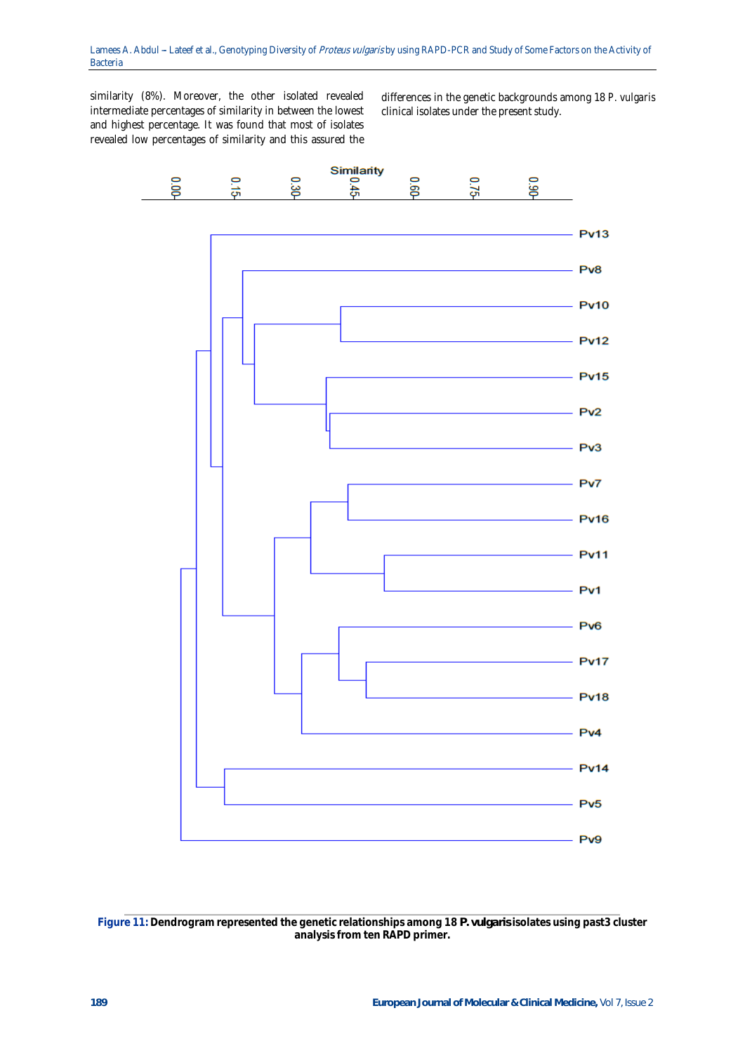similarity (8%). Moreover, the other isolated revealed intermediate percentages of similarity in between the lowest and highest percentage. It was found that most of isolates revealed low percentages of similarity and this assured the

differences in the genetic backgrounds among 18 *P. vulgaris* clinical isolates under the present study.



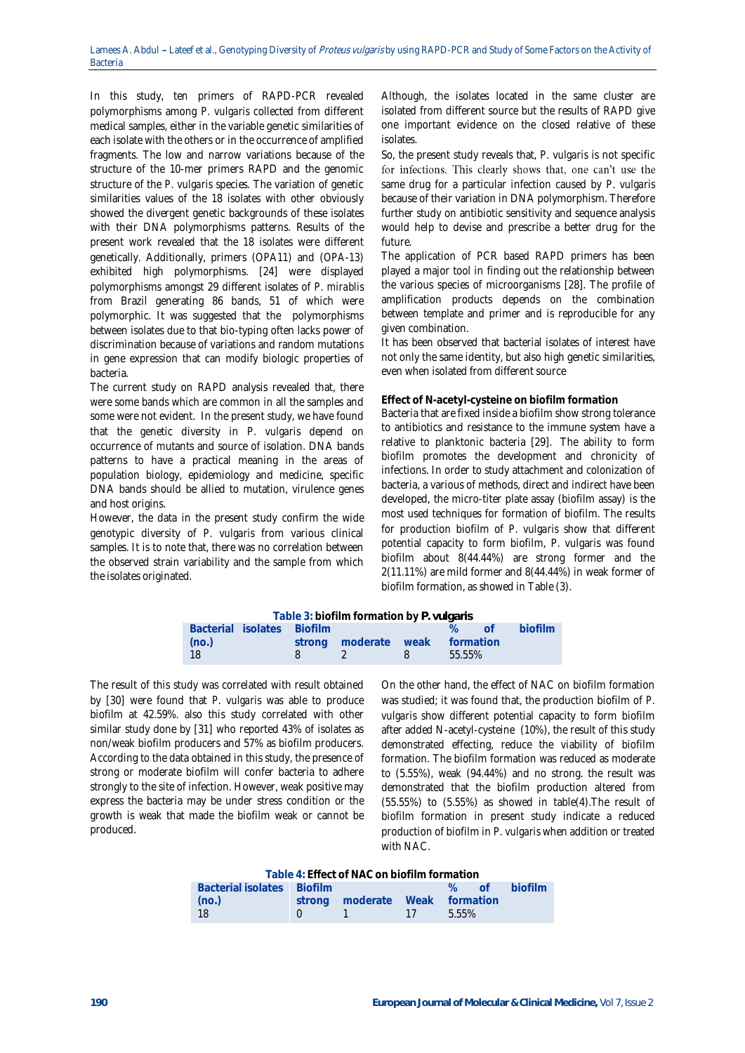In this study, ten primers of RAPD-PCR revealed polymorphisms among *P. vulgaris* collected from different medical samples, either in the variable genetic similarities of each isolate with the others or in the occurrence of amplified fragments. The low and narrow variations because of the structure of the 10-mer primers RAPD and the genomic structure of the *P. vulgaris* species. The variation of genetic similarities values of the 18 isolates with other obviously showed the divergent genetic backgrounds of these isolates with their DNA polymorphisms patterns. Results of the present work revealed that the 18 isolates were different genetically. Additionally, primers (*OPA11)* and (*OPA-13*) exhibited high polymorphisms. [24] were displayed polymorphisms amongst 29 different isolates of *P. mirablis* from Brazil generating 86 bands, 51 of which were polymorphic. It was suggested that the polymorphisms between isolates due to that bio-typing often lacks power of discrimination because of variations and random mutations in gene expression that can modify biologic properties of bacteria.

The current study on RAPD analysis revealed that, there were some bands which are common in all the samples and some were not evident. In the present study, we have found that the genetic diversity in *P. vulgaris* depend on occurrence of mutants and source of isolation. DNA bands patterns to have a practical meaning in the areas of population biology, epidemiology and medicine, specific DNA bands should be allied to mutation, virulence genes and host origins.

However, the data in the present study confirm the wide genotypic diversity of *P. vulgaris* from various clinical samples. It is to note that, there was no correlation between the observed strain variability and the sample from which the isolates originated.

Although, the isolates located in the same cluster are isolated from different source but the results of RAPD give one important evidence on the closed relative of these isolates.

So, the present study reveals that, *P. vulgaris* is not specific for infections. This clearly shows that, one can't use the same drug for a particular infection caused by *P. vulgaris*  because of their variation in DNA polymorphism. Therefore further study on antibiotic sensitivity and sequence analysis would help to devise and prescribe a better drug for the future.

The application of PCR based RAPD primers has been played a major tool in finding out the relationship between the various species of microorganisms [28]. The profile of amplification products depends on the combination between template and primer and is reproducible for any given combination.

It has been observed that bacterial isolates of interest have not only the same identity, but also high genetic similarities, even when isolated from different source

## **Effect of N-acetyl-cysteine on biofilm formation**

Bacteria that are fixed inside a biofilm show strong tolerance to antibiotics and resistance to the immune system have a relative to planktonic bacteria [29]. The ability to form biofilm promotes the development and chronicity of infections. In order to study attachment and colonization of bacteria, a various of methods, direct and indirect have been developed, the micro-titer plate assay (biofilm assay) is the most used techniques for formation of biofilm. The results for production biofilm of *P. vulgaris* show that different potential capacity to form biofilm, P. vulgaris was found biofilm about 8(44.44%) are strong former and the 2(11.11%) are mild former and 8(44.44%) in weak former of biofilm formation, as showed in Table (3).

|       |                            | Table 3: biofilm formation by P. vulgaris |                |        |     |         |
|-------|----------------------------|-------------------------------------------|----------------|--------|-----|---------|
|       | Bacterial isolates Biofilm |                                           |                |        | nf. | biofilm |
| (no.) |                            | strong moderate weak formation            |                |        |     |         |
| 18    |                            |                                           | 8 <sup>2</sup> | 55.55% |     |         |

The result of this study was correlated with result obtained by [30] were found that *P. vulgaris* was able to produce biofilm at 42.59%. also this study correlated with other similar study done by [31] who reported 43% of isolates as non/weak biofilm producers and 57% as biofilm producers. According to the data obtained in this study, the presence of strong or moderate biofilm will confer bacteria to adhere strongly to the site of infection. However, weak positive may express the bacteria may be under stress condition or the growth is weak that made the biofilm weak or cannot be produced.

On the other hand, the effect of NAC on biofilm formation was studied; it was found that, the production biofilm of *P. vulgaris* show different potential capacity to form biofilm after added N-acetyl-cysteine (10%), the result of this study demonstrated effecting, reduce the viability of biofilm formation. The biofilm formation was reduced as moderate to (5.55%), weak (94.44%) and no strong. the result was demonstrated that the biofilm production altered from (55.55%) to (5.55%) as showed in table(4).The result of biofilm formation in present study indicate a reduced production of biofilm in *P. vulgaris* when addition or treated with NAC.

| Table 4: Effect of NAC on biofilm formation |
|---------------------------------------------|
|---------------------------------------------|

| Bacterial isolates Biofilm |                                |  | % of biofilm |
|----------------------------|--------------------------------|--|--------------|
| (no.)                      | strong moderate Weak formation |  |              |
| - 18                       | $1 \t 1 \t 5.55\%$             |  |              |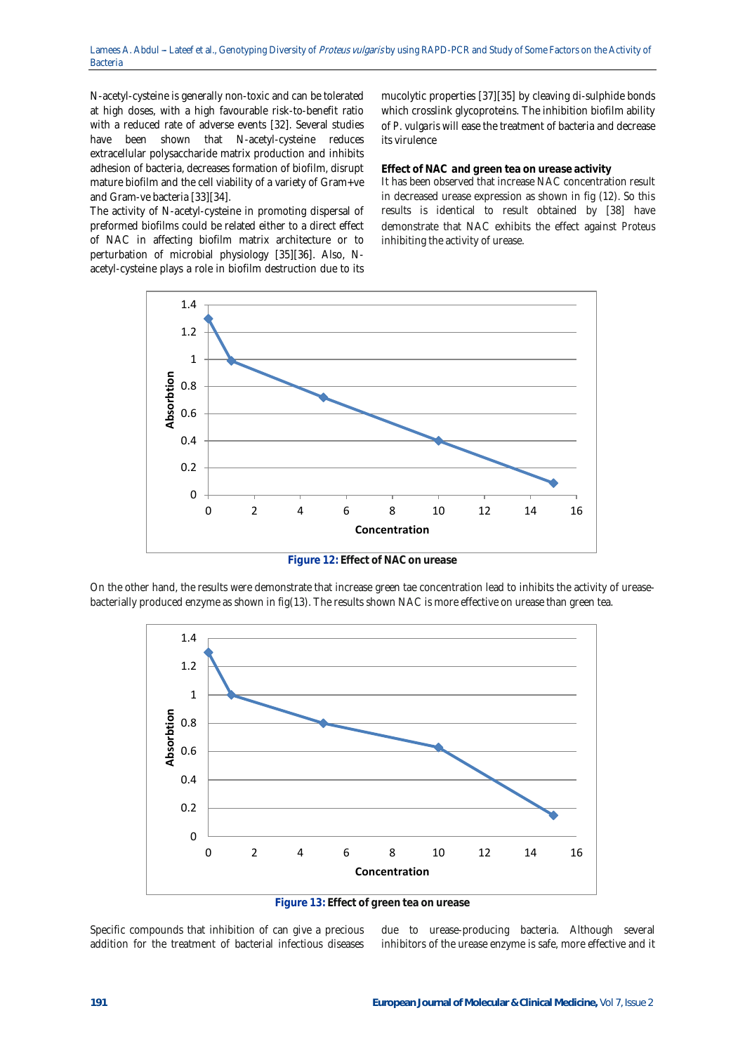N-acetyl-cysteine is generally non-toxic and can be tolerated at high doses, with a high favourable risk-to-benefit ratio with a reduced rate of adverse events [32]. Several studies have been shown that N-acetyl-cysteine reduces extracellular polysaccharide matrix production and inhibits adhesion of bacteria, decreases formation of biofilm, disrupt mature biofilm and the cell viability of a variety of Gram+ve and Gram-ve bacteria [33][34].

The activity of N-acetyl-cysteine in promoting dispersal of preformed biofilms could be related either to a direct effect of NAC in affecting biofilm matrix architecture or to perturbation of microbial physiology [35][36]. Also, Nacetyl-cysteine plays a role in biofilm destruction due to its mucolytic properties [37][35] by cleaving di-sulphide bonds which crosslink glycoproteins. The inhibition biofilm ability of *P. vulgaris* will ease the treatment of bacteria and decrease its virulence

**Effect of NAC and green tea on urease activity**

It has been observed that increase NAC concentration result in decreased urease expression as shown in fig (12). So this results is identical to result obtained by [38] have demonstrate that NAC exhibits the effect against *Proteus* inhibiting the activity of urease.



**Figure 12: Effect of NAC on urease**

On the other hand, the results were demonstrate that increase green tae concentration lead to inhibits the activity of ureasebacterially produced enzyme as shown in fig(13). The results shown NAC is more effective on urease than green tea.



**Figure 13: Effect of green tea on urease**

Specific compounds that inhibition of can give a precious addition for the treatment of bacterial infectious diseases

due to urease-producing bacteria. Although several inhibitors of the urease enzyme is safe, more effective and it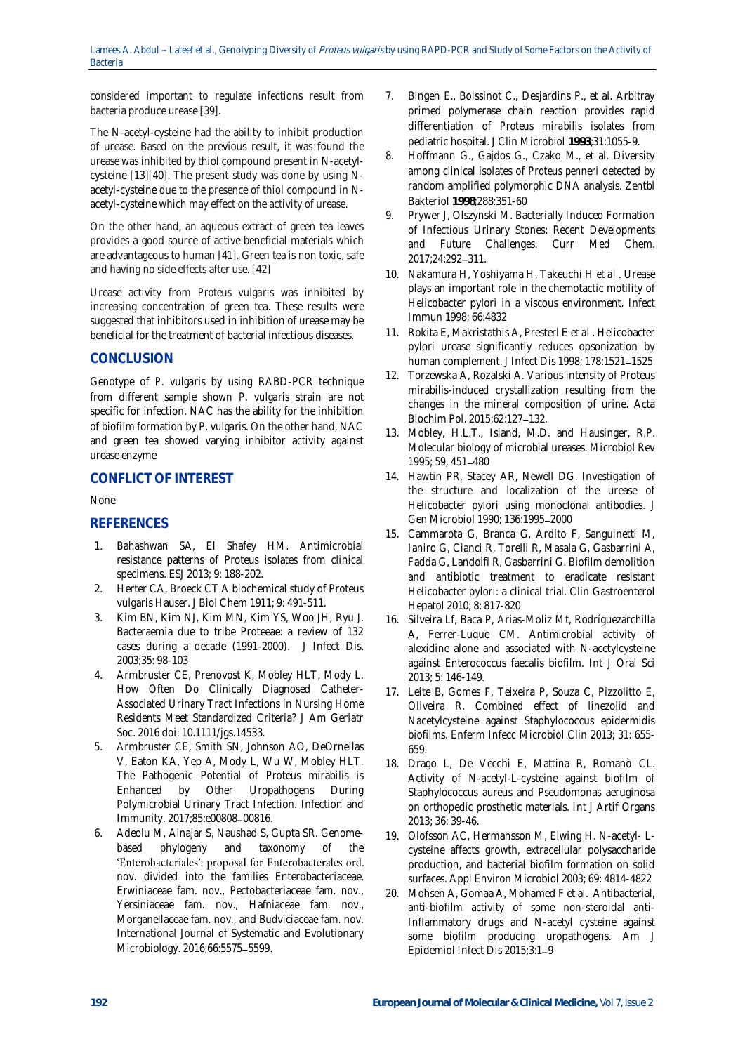considered important to regulate infections result from bacteria produce urease [39].

The N-acetyl-cysteine had the ability to inhibit production of urease. Based on the previous result, it was found the urease was inhibited by thiol compound present in N-acetylcysteine [13][40]. The present study was done by using Nacetyl-cysteine due to the presence of thiol compound in Nacetyl-cysteine which may effect on the activity of urease.

On the other hand, an aqueous extract of green tea leaves provides a good source of active beneficial materials which are advantageous to human [41]. Green tea is non toxic, safe and having no side effects after use. [42]

Urease activity from *Proteus vulgaris* was inhibited by increasing concentration of green tea. These results were suggested that inhibitors used in inhibition of urease may be beneficial for the treatment of bacterial infectious diseases.

# **CONCLUSION**

Genotype of *P. vulgaris* by using RABD-PCR technique from different sample shown *P. vulgaris* strain are not specific for infection. NAC has the ability for the inhibition of biofilm formation by *P. vulgaris*. On the other hand, NAC and green tea showed varying inhibitor activity against urease enzyme

# **CONFLICT OF INTEREST**

None

# **REFERENCES**

- 1. Bahashwan SA, El Shafey HM. Antimicrobial resistance patterns of Proteus isolates from clinical specimens. ESJ 2013; 9: 188-202.
- 2. Herter CA, Broeck CT A biochemical study of Proteus vulgaris Hauser. J Biol Chem 1911; 9: 491-511.
- 3. Kim BN, Kim NJ, Kim MN, Kim YS, Woo JH, Ryu J. Bacteraemia due to tribe Proteeae: a review of 132 cases during a decade (1991-2000). J Infect Dis. 2003;35: 98-103
- 4. Armbruster CE, Prenovost K, Mobley HLT, Mody L. How Often Do Clinically Diagnosed Catheter-Associated Urinary Tract Infections in Nursing Home Residents Meet Standardized Criteria? J Am Geriatr Soc. 2016 doi: 10.1111/jgs.14533.
- 5. Armbruster CE, Smith SN, Johnson AO, DeOrnellas V, Eaton KA, Yep A, Mody L, Wu W, Mobley HLT. The Pathogenic Potential of Proteus mirabilis is Enhanced by Other Uropathogens During Polymicrobial Urinary Tract Infection. Infection and Immunity. 2017;85:e00808 00816.
- 6. Adeolu M, Alnajar S, Naushad S, Gupta SR. Genomebased phylogeny and taxonomy of the 'Enterobacteriales': proposal for Enterobacterales ord. nov. divided into the families Enterobacteriaceae, Erwiniaceae fam. nov., Pectobacteriaceae fam. nov., Yersiniaceae fam. nov., Hafniaceae fam. nov., Morganellaceae fam. nov., and Budviciaceae fam. nov. International Journal of Systematic and Evolutionary Microbiology. 2016:66:5575-5599.
- 7. Bingen E., Boissinot C., Desjardins P., et al. Arbitray primed polymerase chain reaction provides rapid differentiation of *Proteus mirabilis* isolates from pediatric hospital. J Clin Microbiol **1993**;31:1055-9.
- 8. Hoffmann G., Gajdos G., Czako M., et al. Diversity among clinical isolates of *Proteus penneri* detected by random amplified polymorphic DNA analysis. Zentbl Bakteriol **1998**;288:351-60
- 9. Prywer J, Olszynski M. Bacterially Induced Formation of Infectious Urinary Stones: Recent Developments and Future Challenges. Curr Med Chem. 2017;24:292-311.
- 10. Nakamura H, Yoshiyama H, Takeuchi H *et al* . Urease plays an important role in the chemotactic motility of Helicobacter pylori in a viscous environment. Infect Immun 1998; 66:4832
- 11. Rokita E, Makristathis A, Presterl E *et al* . Helicobacter pylori urease significantly reduces opsonization by human complement. J Infect Dis 1998; 178:1521-1525
- 12. Torzewska A, Rozalski A. Various intensity of Proteus mirabilis-induced crystallization resulting from the changes in the mineral composition of urine. Acta Biochim Pol. 2015;62:127-132.
- 13. Mobley, H.L.T., Island, M.D. and Hausinger, R.P. Molecular biology of microbial ureases. Microbiol Rev 1995; 59, 451-480
- 14. Hawtin PR, Stacey AR, Newell DG. Investigation of the structure and localization of the urease of Helicobacter pylori using monoclonal antibodies. J Gen Microbiol 1990; 136:1995-2000
- 15. Cammarota G, Branca G, Ardito F, Sanguinetti M, Ianiro G, Cianci R, Torelli R, Masala G, Gasbarrini A, Fadda G, Landolfi R, Gasbarrini G. Biofilm demolition and antibiotic treatment to eradicate resistant Helicobacter pylori: a clinical trial. Clin Gastroenterol Hepatol 2010; 8: 817-820
- 16. Silveira Lf, Baca P, Arias-Moliz Mt, Rodríguezarchilla A, Ferrer-Luque CM. Antimicrobial activity of alexidine alone and associated with N-acetylcysteine against Enterococcus faecalis biofilm. Int J Oral Sci 2013; 5: 146-149.
- 17. Leite B, Gomes F, Teixeira P, Souza C, Pizzolitto E, Oliveira R. Combined effect of linezolid and Nacetylcysteine against Staphylococcus epidermidis biofilms. Enferm Infecc Microbiol Clin 2013; 31: 655- 659.
- 18. Drago L, De Vecchi E, Mattina R, Romanò CL. Activity of N-acetyl-L-cysteine against biofilm of Staphylococcus aureus and Pseudomonas aeruginosa on orthopedic prosthetic materials. Int J Artif Organs 2013; 36: 39-46.
- 19. Olofsson AC, Hermansson M, Elwing H. N-acetyl- Lcysteine affects growth, extracellular polysaccharide production, and bacterial biofilm formation on solid surfaces. Appl Environ Microbiol 2003; 69: 4814-4822
- 20. Mohsen A, Gomaa A, Mohamed F et al. Antibacterial, anti-biofilm activity of some non-steroidal anti-Inflammatory drugs and N-acetyl cysteine against some biofilm producing uropathogens. Am J Epidemiol Infect Dis 2015;3:1-9